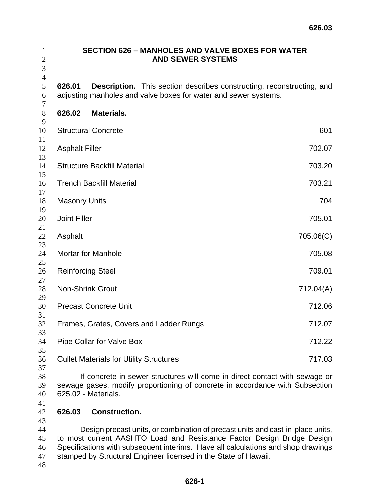| $\mathbf{1}$<br>$\mathbf{2}$<br>3 |                                                                                                                                                                                   | <b>SECTION 626 - MANHOLES AND VALVE BOXES FOR WATER</b><br><b>AND SEWER SYSTEMS</b>                                                                      |           |  |  |
|-----------------------------------|-----------------------------------------------------------------------------------------------------------------------------------------------------------------------------------|----------------------------------------------------------------------------------------------------------------------------------------------------------|-----------|--|--|
| $\overline{4}$<br>5<br>6<br>7     | 626.01                                                                                                                                                                            | <b>Description.</b> This section describes constructing, reconstructing, and<br>adjusting manholes and valve boxes for water and sewer systems.          |           |  |  |
| $8\,$                             | 626.02                                                                                                                                                                            | Materials.                                                                                                                                               |           |  |  |
| 9<br>10                           |                                                                                                                                                                                   | <b>Structural Concrete</b>                                                                                                                               | 601       |  |  |
| 11<br>12<br>13                    | <b>Asphalt Filler</b>                                                                                                                                                             |                                                                                                                                                          | 702.07    |  |  |
| 14<br>15                          |                                                                                                                                                                                   | <b>Structure Backfill Material</b>                                                                                                                       | 703.20    |  |  |
| 16<br>17                          |                                                                                                                                                                                   | <b>Trench Backfill Material</b>                                                                                                                          | 703.21    |  |  |
| 18<br>19                          | <b>Masonry Units</b>                                                                                                                                                              |                                                                                                                                                          | 704       |  |  |
| 20<br>21                          | <b>Joint Filler</b>                                                                                                                                                               |                                                                                                                                                          | 705.01    |  |  |
| 22<br>23                          | Asphalt                                                                                                                                                                           |                                                                                                                                                          | 705.06(C) |  |  |
| 24<br>25                          |                                                                                                                                                                                   | <b>Mortar for Manhole</b>                                                                                                                                | 705.08    |  |  |
| 26<br>27                          |                                                                                                                                                                                   | <b>Reinforcing Steel</b>                                                                                                                                 | 709.01    |  |  |
| 28<br>29                          |                                                                                                                                                                                   | <b>Non-Shrink Grout</b>                                                                                                                                  | 712.04(A) |  |  |
| 30<br>31                          |                                                                                                                                                                                   | <b>Precast Concrete Unit</b>                                                                                                                             | 712.06    |  |  |
| 32<br>33                          |                                                                                                                                                                                   | Frames, Grates, Covers and Ladder Rungs                                                                                                                  | 712.07    |  |  |
| 34<br>35                          |                                                                                                                                                                                   | Pipe Collar for Valve Box                                                                                                                                | 712.22    |  |  |
| 36<br>37                          |                                                                                                                                                                                   | <b>Cullet Materials for Utility Structures</b>                                                                                                           | 717.03    |  |  |
| 38<br>39<br>40<br>41              | If concrete in sewer structures will come in direct contact with sewage or<br>sewage gases, modify proportioning of concrete in accordance with Subsection<br>625.02 - Materials. |                                                                                                                                                          |           |  |  |
| 42<br>43                          | 626.03                                                                                                                                                                            | <b>Construction.</b>                                                                                                                                     |           |  |  |
| 44<br>45                          |                                                                                                                                                                                   | Design precast units, or combination of precast units and cast-in-place units,<br>to most current AASHTO Load and Resistance Factor Design Bridge Design |           |  |  |

Specifications with subsequent interims. Have all calculations and shop drawings stamped by Structural Engineer licensed in the State of Hawaii.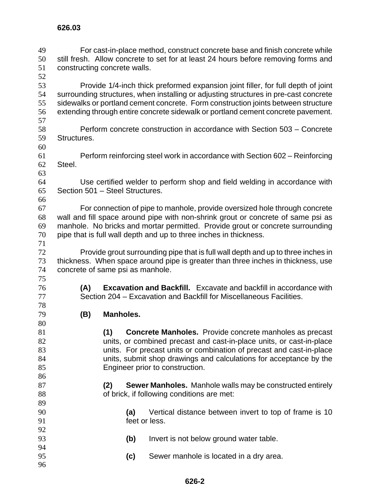For cast-in-place method, construct concrete base and finish concrete while still fresh. Allow concrete to set for at least 24 hours before removing forms and constructing concrete walls. 

Provide 1/4-inch thick preformed expansion joint filler, for full depth of joint surrounding structures, when installing or adjusting structures in pre-cast concrete sidewalks or portland cement concrete. Form construction joints between structure extending through entire concrete sidewalk or portland cement concrete pavement. 

- Perform concrete construction in accordance with Section 503 Concrete Structures.
- Perform reinforcing steel work in accordance with Section 602 Reinforcing Steel.
- 

Use certified welder to perform shop and field welding in accordance with Section 501 – Steel Structures. 

- For connection of pipe to manhole, provide oversized hole through concrete wall and fill space around pipe with non-shrink grout or concrete of same psi as manhole. No bricks and mortar permitted. Provide grout or concrete surrounding pipe that is full wall depth and up to three inches in thickness.
- Provide grout surrounding pipe that is full wall depth and up to three inches in thickness. When space around pipe is greater than three inches in thickness, use concrete of same psi as manhole.
- **(A) Excavation and Backfill.** Excavate and backfill in accordance with Section 204 – Excavation and Backfill for Miscellaneous Facilities.
- **(B) Manholes.**
- **(1) Concrete Manholes.** Provide concrete manholes as precast units, or combined precast and cast-in-place units, or cast-in-place units. For precast units or combination of precast and cast-in-place units, submit shop drawings and calculations for acceptance by the Engineer prior to construction. **(2) Sewer Manholes.** Manhole walls may be constructed entirely 88 of brick, if following conditions are met: **(a)** Vertical distance between invert to top of frame is 10 feet or less. **(b)** Invert is not below ground water table. **(c)** Sewer manhole is located in a dry area.
-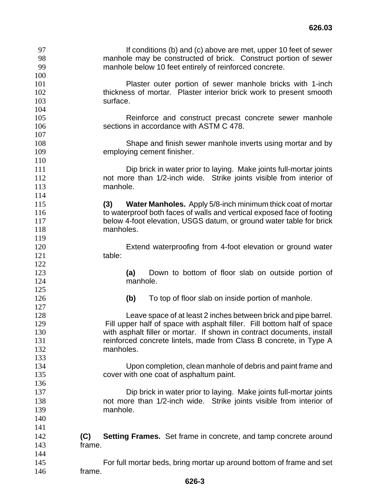| 97  | If conditions (b) and (c) above are met, upper 10 feet of sewer               |
|-----|-------------------------------------------------------------------------------|
| 98  | manhole may be constructed of brick. Construct portion of sewer               |
| 99  | manhole below 10 feet entirely of reinforced concrete.                        |
| 100 |                                                                               |
| 101 | Plaster outer portion of sewer manhole bricks with 1-inch                     |
| 102 | thickness of mortar. Plaster interior brick work to present smooth            |
| 103 | surface.                                                                      |
| 104 |                                                                               |
| 105 | Reinforce and construct precast concrete sewer manhole                        |
| 106 | sections in accordance with ASTM C 478.                                       |
| 107 |                                                                               |
| 108 | Shape and finish sewer manhole inverts using mortar and by                    |
| 109 | employing cement finisher.                                                    |
| 110 |                                                                               |
| 111 | Dip brick in water prior to laying. Make joints full-mortar joints            |
| 112 | not more than 1/2-inch wide. Strike joints visible from interior of           |
| 113 | manhole.                                                                      |
| 114 |                                                                               |
| 115 | <b>Water Manholes.</b> Apply 5/8-inch minimum thick coat of mortar<br>(3)     |
| 116 | to waterproof both faces of walls and vertical exposed face of footing        |
| 117 | below 4-foot elevation, USGS datum, or ground water table for brick           |
| 118 | manholes.                                                                     |
| 119 |                                                                               |
| 120 | Extend waterproofing from 4-foot elevation or ground water                    |
| 121 | table:                                                                        |
| 122 |                                                                               |
| 123 | Down to bottom of floor slab on outside portion of<br>(a)                     |
| 124 | manhole.                                                                      |
| 125 |                                                                               |
| 126 | To top of floor slab on inside portion of manhole.<br>(b)                     |
| 127 |                                                                               |
| 128 | Leave space of at least 2 inches between brick and pipe barrel.               |
| 129 | Fill upper half of space with asphalt filler. Fill bottom half of space       |
| 130 | with asphalt filler or mortar. If shown in contract documents, install        |
| 131 | reinforced concrete lintels, made from Class B concrete, in Type A            |
| 132 | manholes.                                                                     |
| 133 |                                                                               |
| 134 | Upon completion, clean manhole of debris and paint frame and                  |
| 135 | cover with one coat of asphaltum paint.                                       |
| 136 |                                                                               |
| 137 | Dip brick in water prior to laying. Make joints full-mortar joints            |
| 138 | not more than 1/2-inch wide. Strike joints visible from interior of           |
|     |                                                                               |
| 139 | manhole.                                                                      |
| 140 |                                                                               |
| 141 |                                                                               |
| 142 | <b>Setting Frames.</b> Set frame in concrete, and tamp concrete around<br>(C) |
| 143 | frame.                                                                        |
| 144 |                                                                               |
| 145 | For full mortar beds, bring mortar up around bottom of frame and set          |
| 146 | frame.                                                                        |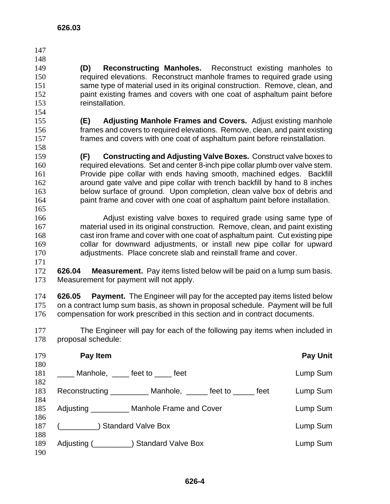**626.03** 

- **(D) Reconstructing Manholes.** Reconstruct existing manholes to required elevations. Reconstruct manhole frames to required grade using same type of material used in its original construction. Remove, clean, and 152 paint existing frames and covers with one coat of asphaltum paint before reinstallation.
- **(E) Adjusting Manhole Frames and Covers.** Adjust existing manhole frames and covers to required elevations. Remove, clean, and paint existing frames and covers with one coat of asphaltum paint before reinstallation.
- **(F) Constructing and Adjusting Valve Boxes.** Construct valve boxes to required elevations. Set and center 8-inch pipe collar plumb over valve stem. Provide pipe collar with ends having smooth, machined edges. Backfill around gate valve and pipe collar with trench backfill by hand to 8 inches below surface of ground. Upon completion, clean valve box of debris and paint frame and cover with one coat of asphaltum paint before installation.
- Adjust existing valve boxes to required grade using same type of material used in its original construction. Remove, clean, and paint existing cast iron frame and cover with one coat of asphaltum paint. Cut existing pipe collar for downward adjustments, or install new pipe collar for upward adjustments. Place concrete slab and reinstall frame and cover.
- **626.04 Measurement.** Pay items listed below will be paid on a lump sum basis. Measurement for payment will not apply.
- **626.05 Payment.** The Engineer will pay for the accepted pay items listed below on a contract lump sum basis, as shown in proposal schedule. Payment will be full compensation for work prescribed in this section and in contract documents.
- The Engineer will pay for each of the following pay items when included in proposal schedule:

| 179               | Pay Item                                                        | <b>Pay Unit</b> |
|-------------------|-----------------------------------------------------------------|-----------------|
| 180<br>181<br>182 | Manhole, feet to feet                                           | Lump Sum        |
| 183<br>184        | Reconstructing ____________ Manhole, ______ feet to ______ feet | Lump Sum        |
| 185<br>186        | Adjusting __________ Manhole Frame and Cover                    | Lump Sum        |
| 187               | ) Standard Valve Box                                            | Lump Sum        |
| 188<br>189<br>190 | Adjusting ( <b>No. 2018</b> ) Standard Valve Box                | Lump Sum        |